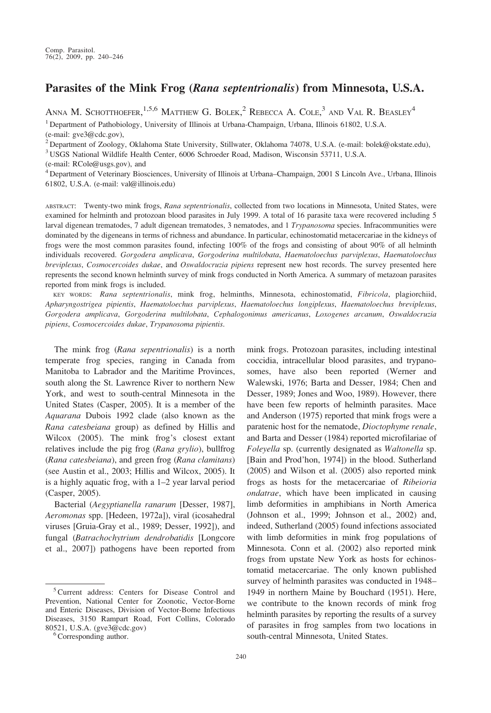# Parasites of the Mink Frog (Rana septentrionalis) from Minnesota, U.S.A.

ANNA M. SCHOTTHOEFER,  $^{1,5,6}$  Matthew G. Bolek,  $^2$  Rebecca A. Cole,  $^3$  and Val R. Beasley  $^4$ 

<sup>1</sup> Department of Pathobiology, University of Illinois at Urbana-Champaign, Urbana, Illinois 61802, U.S.A.

(e-mail: gve3@cdc.gov),

<sup>2</sup> Department of Zoology, Oklahoma State University, Stillwater, Oklahoma 74078, U.S.A. (e-mail: bolek@okstate.edu),

<sup>3</sup> USGS National Wildlife Health Center, 6006 Schroeder Road, Madison, Wisconsin 53711, U.S.A.

(e-mail: RCole@usgs.gov), and

<sup>4</sup> Department of Veterinary Biosciences, University of Illinois at Urbana–Champaign, 2001 S Lincoln Ave., Urbana, Illinois 61802, U.S.A. (e-mail: val@illinois.edu)

ABSTRACT: Twenty-two mink frogs, Rana septentrionalis, collected from two locations in Minnesota, United States, were examined for helminth and protozoan blood parasites in July 1999. A total of 16 parasite taxa were recovered including 5 larval digenean trematodes, 7 adult digenean trematodes, 3 nematodes, and 1 Trypanosoma species. Infracommunities were dominated by the digeneans in terms of richness and abundance. In particular, echinostomatid metacercariae in the kidneys of frogs were the most common parasites found, infecting 100% of the frogs and consisting of about 90% of all helminth individuals recovered. Gorgodera amplicava, Gorgoderina multilobata, Haematoloechus parviplexus, Haematoloechus breviplexus, Cosmocercoides dukae, and Oswaldocruzia pipiens represent new host records. The survey presented here represents the second known helminth survey of mink frogs conducted in North America. A summary of metazoan parasites reported from mink frogs is included.

KEY WORDS: Rana septentrionalis, mink frog, helminths, Minnesota, echinostomatid, Fibricola, plagiorchiid, Apharyngostrigea pipientis, Haematoloechus parviplexus, Haematoloechus longiplexus, Haematoloechus breviplexus, Gorgodera amplicava, Gorgoderina multilobata, Cephalogonimus americanus, Loxogenes arcanum, Oswaldocruzia pipiens, Cosmocercoides dukae, Trypanosoma pipientis.

The mink frog (Rana sepentrionalis) is a north temperate frog species, ranging in Canada from Manitoba to Labrador and the Maritime Provinces, south along the St. Lawrence River to northern New York, and west to south-central Minnesota in the United States (Casper, 2005). It is a member of the Aquarana Dubois 1992 clade (also known as the Rana catesbeiana group) as defined by Hillis and Wilcox (2005). The mink frog's closest extant relatives include the pig frog (Rana grylio), bullfrog (Rana catesbeiana), and green frog (Rana clamitans) (see Austin et al., 2003; Hillis and Wilcox, 2005). It is a highly aquatic frog, with a 1–2 year larval period (Casper, 2005).

Bacterial (Aegyptianella ranarum [Desser, 1987], Aeromonas spp. [Hedeen, 1972a]), viral (icosahedral viruses [Gruia-Gray et al., 1989; Desser, 1992]), and fungal (Batrachochytrium dendrobatidis [Longcore et al., 2007]) pathogens have been reported from mink frogs. Protozoan parasites, including intestinal coccidia, intracellular blood parasites, and trypanosomes, have also been reported (Werner and Walewski, 1976; Barta and Desser, 1984; Chen and Desser, 1989; Jones and Woo, 1989). However, there have been few reports of helminth parasites. Mace and Anderson (1975) reported that mink frogs were a paratenic host for the nematode, Dioctophyme renale, and Barta and Desser (1984) reported microfilariae of Foleyella sp. (currently designated as Waltonella sp. [Bain and Prod'hon, 1974]) in the blood. Sutherland (2005) and Wilson et al. (2005) also reported mink frogs as hosts for the metacercariae of Ribeioria ondatrae, which have been implicated in causing limb deformities in amphibians in North America (Johnson et al., 1999; Johnson et al., 2002) and, indeed, Sutherland (2005) found infections associated with limb deformities in mink frog populations of Minnesota. Conn et al. (2002) also reported mink frogs from upstate New York as hosts for echinostomatid metacercariae. The only known published survey of helminth parasites was conducted in 1948– 1949 in northern Maine by Bouchard (1951). Here, we contribute to the known records of mink frog helminth parasites by reporting the results of a survey of parasites in frog samples from two locations in south-central Minnesota, United States.

<sup>5</sup>Current address: Centers for Disease Control and Prevention, National Center for Zoonotic, Vector-Borne and Enteric Diseases, Division of Vector-Borne Infectious Diseases, 3150 Rampart Road, Fort Collins, Colorado 80521, U.S.A. (gve3@cdc.gov)  $6\overline{C}$ Corresponding author.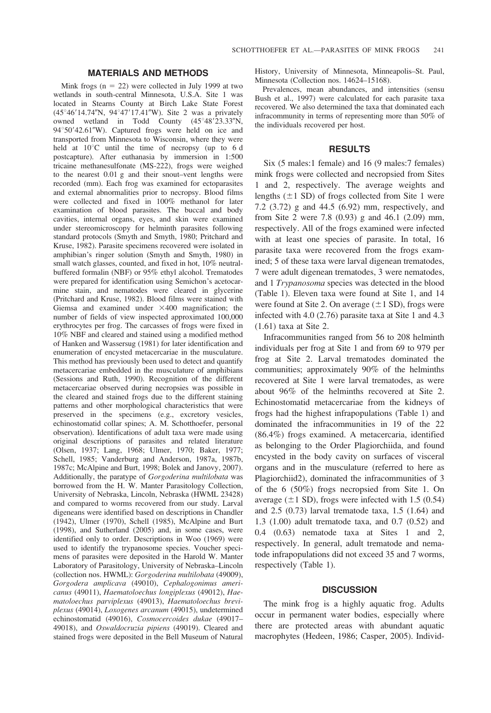## MATERIALS AND METHODS

Mink frogs  $(n = 22)$  were collected in July 1999 at two wetlands in south-central Minnesota, U.S.A. Site 1 was located in Stearns County at Birch Lake State Forest  $(45^{\circ}46'14.74''N, 94^{\circ}47'17.41''W)$ . Site 2 was a privately owned wetland in Todd County  $(45^{\circ}48'23.33''N,$  $94^{\circ}50'42.61''$ W). Captured frogs were held on ice and transported from Minnesota to Wisconsin, where they were held at  $10^{\circ}$ C until the time of necropsy (up to 6 d postcapture). After euthanasia by immersion in 1:500 tricaine methanesulfonate (MS-222), frogs were weighed to the nearest 0.01 g and their snout–vent lengths were recorded (mm). Each frog was examined for ectoparasites and external abnormalities prior to necropsy. Blood films were collected and fixed in 100% methanol for later examination of blood parasites. The buccal and body cavities, internal organs, eyes, and skin were examined under stereomicroscopy for helminth parasites following standard protocols (Smyth and Smyth, 1980; Pritchard and Kruse, 1982). Parasite specimens recovered were isolated in amphibian's ringer solution (Smyth and Smyth, 1980) in small watch glasses, counted, and fixed in hot, 10% neutralbuffered formalin (NBF) or 95% ethyl alcohol. Trematodes were prepared for identification using Semichon's acetocarmine stain, and nematodes were cleared in glycerine (Pritchard and Kruse, 1982). Blood films were stained with Giemsa and examined under  $\times 400$  magnification; the number of fields of view inspected approximated 100,000 erythrocytes per frog. The carcasses of frogs were fixed in 10% NBF and cleared and stained using a modified method of Hanken and Wassersug (1981) for later identification and enumeration of encysted metacercariae in the musculature. This method has previously been used to detect and quantify metacercariae embedded in the musculature of amphibians (Sessions and Ruth, 1990). Recognition of the different metacercariae observed during necropsies was possible in the cleared and stained frogs due to the different staining patterns and other morphological characteristics that were preserved in the specimens (e.g., excretory vesicles, echinostomatid collar spines; A. M. Schotthoefer, personal observation). Identifications of adult taxa were made using original descriptions of parasites and related literature (Olsen, 1937; Lang, 1968; Ulmer, 1970; Baker, 1977; Schell, 1985; Vanderburg and Anderson, 1987a, 1987b, 1987c; McAlpine and Burt, 1998; Bolek and Janovy, 2007). Additionally, the paratype of Gorgoderina multilobata was borrowed from the H. W. Manter Parasitology Collection, University of Nebraska, Lincoln, Nebraska (HWML 23428) and compared to worms recovered from our study. Larval digeneans were identified based on descriptions in Chandler (1942), Ulmer (1970), Schell (1985), McAlpine and Burt (1998), and Sutherland (2005) and, in some cases, were identified only to order. Descriptions in Woo (1969) were used to identify the trypanosome species. Voucher specimens of parasites were deposited in the Harold W. Manter Laboratory of Parasitology, University of Nebraska–Lincoln (collection nos. HWML): Gorgoderina multilobata (49009), Gorgodera amplicava (49010), Cephalogonimus americanus (49011), Haematoloechus longiplexus (49012), Haematoloechus parviplexus (49013), Haematoloechus breviplexus (49014), Loxogenes arcanum (49015), undetermined echinostomatid (49016), Cosmocercoides dukae (49017– 49018), and Oswaldocruzia pipiens (49019). Cleared and stained frogs were deposited in the Bell Museum of Natural

History, University of Minnesota, Minneapolis–St. Paul, Minnesota (Collection nos. 14624–15168).

Prevalences, mean abundances, and intensities (sensu Bush et al., 1997) were calculated for each parasite taxa recovered. We also determined the taxa that dominated each infracommunity in terms of representing more than 50% of the individuals recovered per host.

#### RESULTS

Six (5 males:1 female) and 16 (9 males:7 females) mink frogs were collected and necropsied from Sites 1 and 2, respectively. The average weights and lengths  $(\pm 1$  SD) of frogs collected from Site 1 were 7.2 (3.72) g and 44.5 (6.92) mm, respectively, and from Site 2 were 7.8 (0.93) g and 46.1 (2.09) mm, respectively. All of the frogs examined were infected with at least one species of parasite. In total, 16 parasite taxa were recovered from the frogs examined; 5 of these taxa were larval digenean trematodes, 7 were adult digenean trematodes, 3 were nematodes, and 1 Trypanosoma species was detected in the blood (Table 1). Eleven taxa were found at Site 1, and 14 were found at Site 2. On average  $(\pm 1$  SD), frogs were infected with 4.0 (2.76) parasite taxa at Site 1 and 4.3 (1.61) taxa at Site 2.

Infracommunities ranged from 56 to 208 helminth individuals per frog at Site 1 and from 69 to 979 per frog at Site 2. Larval trematodes dominated the communities; approximately 90% of the helminths recovered at Site 1 were larval trematodes, as were about 96% of the helminths recovered at Site 2. Echinostomatid metacercariae from the kidneys of frogs had the highest infrapopulations (Table 1) and dominated the infracommunities in 19 of the 22 (86.4%) frogs examined. A metacercaria, identified as belonging to the Order Plagiorchiida, and found encysted in the body cavity on surfaces of visceral organs and in the musculature (referred to here as Plagiorchiid2), dominated the infracommunities of 3 of the 6 (50%) frogs necropsied from Site 1. On average  $(\pm 1$  SD), frogs were infected with 1.5 (0.54) and 2.5 (0.73) larval trematode taxa, 1.5 (1.64) and 1.3 (1.00) adult trematode taxa, and 0.7 (0.52) and 0.4 (0.63) nematode taxa at Sites 1 and 2, respectively. In general, adult trematode and nematode infrapopulations did not exceed 35 and 7 worms, respectively (Table 1).

### **DISCUSSION**

The mink frog is a highly aquatic frog. Adults occur in permanent water bodies, especially where there are protected areas with abundant aquatic macrophytes (Hedeen, 1986; Casper, 2005). Individ-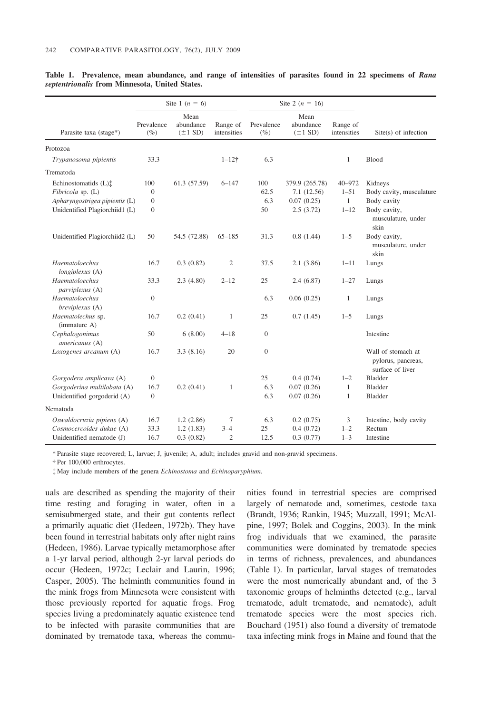|                                   | Site 1 ( $n = 6$ )   |                                   |                         | Site 2 ( $n = 16$ )  |                                   |                         |                                                              |
|-----------------------------------|----------------------|-----------------------------------|-------------------------|----------------------|-----------------------------------|-------------------------|--------------------------------------------------------------|
| Parasite taxa (stage*)            | Prevalence<br>$(\%)$ | Mean<br>abundance<br>$(\pm 1$ SD) | Range of<br>intensities | Prevalence<br>$(\%)$ | Mean<br>abundance<br>$(\pm 1$ SD) | Range of<br>intensities | Site(s) of infection                                         |
| Protozoa                          |                      |                                   |                         |                      |                                   |                         |                                                              |
| Trypanosoma pipientis             | 33.3                 |                                   | $1 - 12$ †              | 6.3                  |                                   | $\mathbf{1}$            | Blood                                                        |
| Trematoda                         |                      |                                   |                         |                      |                                   |                         |                                                              |
| Echinostomatids (L) <sup>†</sup>  | 100                  | 61.3 (57.59)                      | $6 - 147$               | 100                  | 379.9 (265.78)                    | $40 - 972$              | Kidneys                                                      |
| Fibricola sp. (L)                 | $\mathbf{0}$         |                                   |                         | 62.5                 | 7.1(12.56)                        | $1 - 51$                | Body cavity, musculature                                     |
| Apharyngostrigea pipientis (L)    | $\overline{0}$       |                                   |                         | 6.3                  | 0.07(0.25)                        | $\mathbf{1}$            | Body cavity                                                  |
| Unidentified Plagiorchiid1 (L)    | $\overline{0}$       |                                   |                         | 50                   | 2.5(3.72)                         | $1 - 12$                | Body cavity,<br>musculature, under<br>skin                   |
| Unidentified Plagiorchiid2 (L)    | 50                   | 54.5 (72.88)                      | $65 - 185$              | 31.3                 | 0.8(1.44)                         | $1 - 5$                 | Body cavity,<br>musculature, under<br>skin                   |
| Haematoloechus<br>longiplexus (A) | 16.7                 | 0.3(0.82)                         | $\mathfrak{2}$          | 37.5                 | 2.1(3.86)                         | $1 - 11$                | Lungs                                                        |
| Haematoloechus<br>parviplexus (A) | 33.3                 | 2.3(4.80)                         | $2 - 12$                | 25                   | 2.4(6.87)                         | $1 - 27$                | Lungs                                                        |
| Haematoloechus<br>breviplexus (A) | $\boldsymbol{0}$     |                                   |                         | 6.3                  | 0.06(0.25)                        | 1                       | Lungs                                                        |
| Haematolechus sp.<br>(immature A) | 16.7                 | 0.2(0.41)                         | $\mathbf{1}$            | 25                   | 0.7(1.45)                         | $1 - 5$                 | Lungs                                                        |
| Cephalogonimus<br>americanus (A)  | 50                   | 6(8.00)                           | $4 - 18$                | $\boldsymbol{0}$     |                                   |                         | Intestine                                                    |
| Loxogenes arcanum (A)             | 16.7                 | 3.3(8.16)                         | 20                      | $\overline{0}$       |                                   |                         | Wall of stomach at<br>pylorus, pancreas,<br>surface of liver |
| Gorgodera amplicava (A)           | $\theta$             |                                   |                         | 25                   | 0.4(0.74)                         | $1 - 2$                 | <b>Bladder</b>                                               |
| Gorgoderina multilobata (A)       | 16.7                 | 0.2(0.41)                         | $\mathbf{1}$            | 6.3                  | 0.07(0.26)                        | $\mathbf{1}$            | <b>Bladder</b>                                               |
| Unidentified gorgoderid (A)       | $\theta$             |                                   |                         | 6.3                  | 0.07(0.26)                        | $\mathbf{1}$            | <b>Bladder</b>                                               |
| Nematoda                          |                      |                                   |                         |                      |                                   |                         |                                                              |
| Oswaldocruzia pipiens (A)         | 16.7                 | 1.2(2.86)                         | $\tau$                  | 6.3                  | 0.2(0.75)                         | 3                       | Intestine, body cavity                                       |
| Cosmocercoides dukae (A)          | 33.3                 | 1.2(1.83)                         | $3 - 4$                 | 25                   | 0.4(0.72)                         | $1 - 2$                 | Rectum                                                       |
| Unidentified nematode (J)         | 16.7                 | 0.3(0.82)                         | $\overline{2}$          | 12.5                 | 0.3(0.77)                         | $1 - 3$                 | Intestine                                                    |

Table 1. Prevalence, mean abundance, and range of intensities of parasites found in 22 specimens of Rana septentrionalis from Minnesota, United States.

\* Parasite stage recovered; L, larvae; J, juvenile; A, adult; includes gravid and non-gravid specimens.

{ Per 100,000 erthrocytes.

{ May include members of the genera Echinostoma and Echinoparyphium.

uals are described as spending the majority of their time resting and foraging in water, often in a semisubmerged state, and their gut contents reflect a primarily aquatic diet (Hedeen, 1972b). They have been found in terrestrial habitats only after night rains (Hedeen, 1986). Larvae typically metamorphose after a 1-yr larval period, although 2-yr larval periods do occur (Hedeen, 1972c; Leclair and Laurin, 1996; Casper, 2005). The helminth communities found in the mink frogs from Minnesota were consistent with those previously reported for aquatic frogs. Frog species living a predominately aquatic existence tend to be infected with parasite communities that are dominated by trematode taxa, whereas the communities found in terrestrial species are comprised largely of nematode and, sometimes, cestode taxa (Brandt, 1936; Rankin, 1945; Muzzall, 1991; McAlpine, 1997; Bolek and Coggins, 2003). In the mink frog individuals that we examined, the parasite communities were dominated by trematode species in terms of richness, prevalences, and abundances (Table 1). In particular, larval stages of trematodes were the most numerically abundant and, of the 3 taxonomic groups of helminths detected (e.g., larval trematode, adult trematode, and nematode), adult trematode species were the most species rich. Bouchard (1951) also found a diversity of trematode taxa infecting mink frogs in Maine and found that the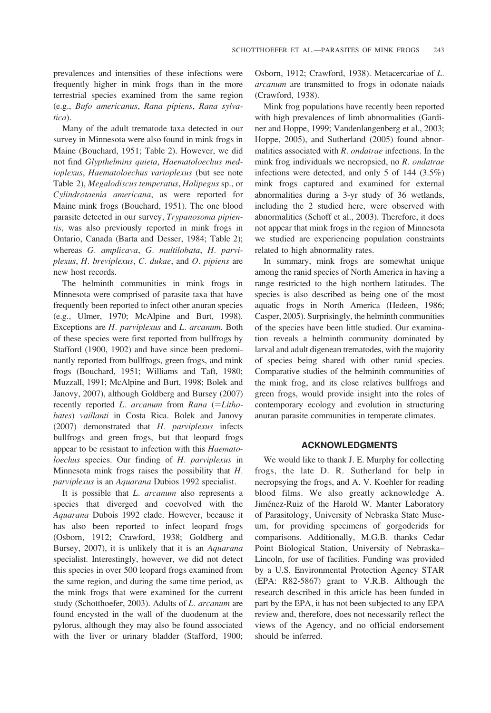prevalences and intensities of these infections were frequently higher in mink frogs than in the more terrestrial species examined from the same region (e.g., Bufo americanus, Rana pipiens, Rana sylvatica).

Many of the adult trematode taxa detected in our survey in Minnesota were also found in mink frogs in Maine (Bouchard, 1951; Table 2). However, we did not find Glypthelmins quieta, Haematoloechus medioplexus, Haematoloechus varioplexus (but see note Table 2), Megalodiscus temperatus, Halipegus sp., or Cylindrotaenia americana, as were reported for Maine mink frogs (Bouchard, 1951). The one blood parasite detected in our survey, Trypanosoma pipientis, was also previously reported in mink frogs in Ontario, Canada (Barta and Desser, 1984; Table 2); whereas G. amplicava, G. multilobata, H. parviplexus, H. breviplexus, C. dukae, and O. pipiens are new host records.

The helminth communities in mink frogs in Minnesota were comprised of parasite taxa that have frequently been reported to infect other anuran species (e.g., Ulmer, 1970; McAlpine and Burt, 1998). Exceptions are H. parviplexus and L. arcanum. Both of these species were first reported from bullfrogs by Stafford (1900, 1902) and have since been predominantly reported from bullfrogs, green frogs, and mink frogs (Bouchard, 1951; Williams and Taft, 1980; Muzzall, 1991; McAlpine and Burt, 1998; Bolek and Janovy, 2007), although Goldberg and Bursey (2007) recently reported  $L.$  arcanum from Rana (= $Litho$ bates) vaillanti in Costa Rica. Bolek and Janovy (2007) demonstrated that H. parviplexus infects bullfrogs and green frogs, but that leopard frogs appear to be resistant to infection with this *Haemato*loechus species. Our finding of H. parviplexus in Minnesota mink frogs raises the possibility that H. parviplexus is an Aquarana Dubios 1992 specialist.

It is possible that *L. arcanum* also represents a species that diverged and coevolved with the Aquarana Dubois 1992 clade. However, because it has also been reported to infect leopard frogs (Osborn, 1912; Crawford, 1938; Goldberg and Bursey, 2007), it is unlikely that it is an Aquarana specialist. Interestingly, however, we did not detect this species in over 500 leopard frogs examined from the same region, and during the same time period, as the mink frogs that were examined for the current study (Schotthoefer, 2003). Adults of L. arcanum are found encysted in the wall of the duodenum at the pylorus, although they may also be found associated with the liver or urinary bladder (Stafford, 1900; Osborn, 1912; Crawford, 1938). Metacercariae of L. arcanum are transmitted to frogs in odonate naiads (Crawford, 1938).

Mink frog populations have recently been reported with high prevalences of limb abnormalities (Gardiner and Hoppe, 1999; Vandenlangenberg et al., 2003; Hoppe, 2005), and Sutherland (2005) found abnormalities associated with  $R$ . ondatrae infections. In the mink frog individuals we necropsied, no R. ondatrae infections were detected, and only 5 of 144 (3.5%) mink frogs captured and examined for external abnormalities during a 3-yr study of 36 wetlands, including the 2 studied here, were observed with abnormalities (Schoff et al., 2003). Therefore, it does not appear that mink frogs in the region of Minnesota we studied are experiencing population constraints related to high abnormality rates.

In summary, mink frogs are somewhat unique among the ranid species of North America in having a range restricted to the high northern latitudes. The species is also described as being one of the most aquatic frogs in North America (Hedeen, 1986; Casper, 2005). Surprisingly, the helminth communities of the species have been little studied. Our examination reveals a helminth community dominated by larval and adult digenean trematodes, with the majority of species being shared with other ranid species. Comparative studies of the helminth communities of the mink frog, and its close relatives bullfrogs and green frogs, would provide insight into the roles of contemporary ecology and evolution in structuring anuran parasite communities in temperate climates.

### ACKNOWLEDGMENTS

We would like to thank J. E. Murphy for collecting frogs, the late D. R. Sutherland for help in necropsying the frogs, and A. V. Koehler for reading blood films. We also greatly acknowledge A. Jiménez-Ruiz of the Harold W. Manter Laboratory of Parasitology, University of Nebraska State Museum, for providing specimens of gorgoderids for comparisons. Additionally, M.G.B. thanks Cedar Point Biological Station, University of Nebraska– Lincoln, for use of facilities. Funding was provided by a U.S. Environmental Protection Agency STAR (EPA: R82-5867) grant to V.R.B. Although the research described in this article has been funded in part by the EPA, it has not been subjected to any EPA review and, therefore, does not necessarily reflect the views of the Agency, and no official endorsement should be inferred.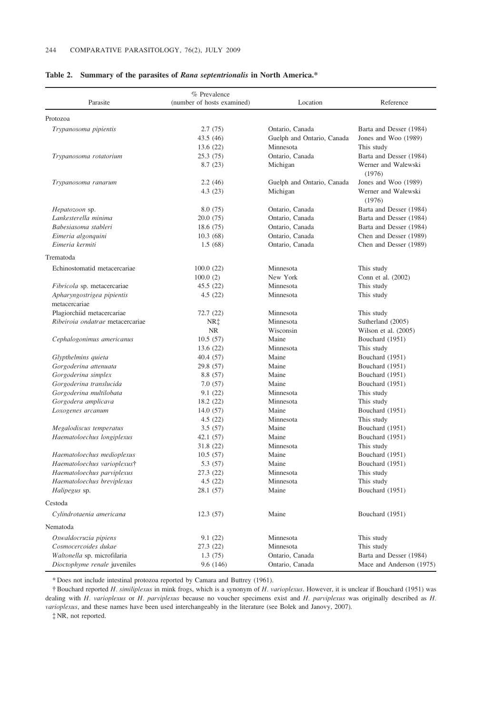| Parasite                                    | % Prevalence<br>(number of hosts examined) | Location                   | Reference                     |
|---------------------------------------------|--------------------------------------------|----------------------------|-------------------------------|
| Protozoa                                    |                                            |                            |                               |
| Trypanosoma pipientis                       | 2.7(75)                                    | Ontario, Canada            | Barta and Desser (1984)       |
|                                             | 43.5(46)                                   | Guelph and Ontario, Canada | Jones and Woo (1989)          |
|                                             | 13.6 (22)                                  | Minnesota                  | This study                    |
| Trypanosoma rotatorium                      | 25.3(75)                                   | Ontario, Canada            | Barta and Desser (1984)       |
|                                             | 8.7(23)                                    | Michigan                   | Werner and Walewski<br>(1976) |
| Trypanosoma ranarum                         | 2.2(46)                                    | Guelph and Ontario, Canada | Jones and Woo (1989)          |
|                                             | 4.3(23)                                    | Michigan                   | Werner and Walewski<br>(1976) |
| Hepatozoon sp.                              | 8.0 (75)                                   | Ontario, Canada            | Barta and Desser (1984)       |
| Lankesterella minima                        | 20.0(75)                                   | Ontario, Canada            | Barta and Desser (1984)       |
| Babesiasoma stableri                        | 18.6 (75)                                  | Ontario, Canada            | Barta and Desser (1984)       |
| Eimeria algonquini                          | 10.3(68)                                   | Ontario, Canada            | Chen and Desser (1989)        |
| Eimeria kermiti                             | 1.5(68)                                    | Ontario, Canada            | Chen and Desser (1989)        |
| Trematoda                                   |                                            |                            |                               |
| Echinostomatid metacercariae                | 100.0(22)                                  | Minnesota                  | This study                    |
|                                             | 100.0(2)                                   | New York                   | Conn et al. (2002)            |
| Fibricola sp. metacercariae                 | 45.5(22)                                   | Minnesota                  | This study                    |
| Apharyngostrigea pipientis<br>metacercariae | 4.5(22)                                    | Minnesota                  | This study                    |
| Plagiorchiid metacercariae                  | 72.7(22)                                   | Minnesota                  | This study                    |
| Ribeiroia ondatrae metacercariae            | NR‡                                        | Minnesota                  | Sutherland (2005)             |
|                                             | NR.                                        | Wisconsin                  | Wilson et al. $(2005)$        |
| Cephalogonimus americanus                   | 10.5(57)                                   | Maine                      | Bouchard (1951)               |
|                                             | 13.6 (22)                                  | Minnesota                  | This study                    |
| Glypthelmins quieta                         | 40.4(57)                                   | Maine                      | Bouchard (1951)               |
| Gorgoderina attenuata                       | 29.8 (57)                                  | Maine                      | Bouchard (1951)               |
| Gorgoderina simplex                         | 8.8 (57)                                   | Maine                      | Bouchard (1951)               |
| Gorgoderina translucida                     | 7.0(57)                                    | Maine                      | Bouchard (1951)               |
| Gorgoderina multilobata                     | 9.1(22)                                    | Minnesota                  | This study                    |
| Gorgodera amplicava                         | 18.2 (22)                                  | Minnesota                  | This study                    |
| Loxogenes arcanum                           | 14.0 (57)                                  | Maine                      | Bouchard (1951)               |
|                                             | 4.5(22)                                    | Minnesota                  | This study                    |
| Megalodiscus temperatus                     | 3.5(57)                                    | Maine                      | Bouchard (1951)               |
| Haematoloechus longiplexus                  | 42.1 (57)                                  | Maine                      | Bouchard (1951)               |
|                                             | 31.8(22)                                   | Minnesota                  | This study                    |
| Haematoloechus medioplexus                  | 10.5(57)                                   | Maine                      | Bouchard (1951)               |
| Haematoloechus varioplexus†                 | 5.3 (57)                                   | Maine                      | Bouchard (1951)               |
| Haematoloechus parviplexus                  | 27.3 (22)                                  | Minnesota                  | This study                    |
| Haematoloechus breviplexus                  | 4.5(22)                                    | Minnesota                  | This study                    |
| Halipegus sp.                               | 28.1 (57)                                  | Maine                      | Bouchard (1951)               |
| Cestoda                                     |                                            |                            |                               |
| Cylindrotaenia americana                    | 12.3(57)                                   | Maine                      | Bouchard (1951)               |
| Nematoda                                    |                                            |                            |                               |
| Oswaldocruzia pipiens                       | 9.1(22)                                    | Minnesota                  | This study                    |
| Cosmocercoides dukae                        | 27.3 (22)                                  | Minnesota                  | This study                    |
| Waltonella sp. microfilaria                 | 1.3(75)                                    | Ontario, Canada            | Barta and Desser (1984)       |
| Dioctophyme renale juveniles                | 9.6 (146)                                  | Ontario, Canada            | Mace and Anderson (1975)      |

#### Table 2. Summary of the parasites of Rana septentrionalis in North America.\*

\* Does not include intestinal protozoa reported by Camara and Buttrey (1961).

{ Bouchard reported H. similiplexus in mink frogs, which is a synonym of H. varioplexus. However, it is unclear if Bouchard (1951) was dealing with H. varioplexus or H. parviplexus because no voucher specimens exist and H. parviplexus was originally described as H. varioplexus, and these names have been used interchangeably in the literature (see Bolek and Janovy, 2007).

{ NR, not reported.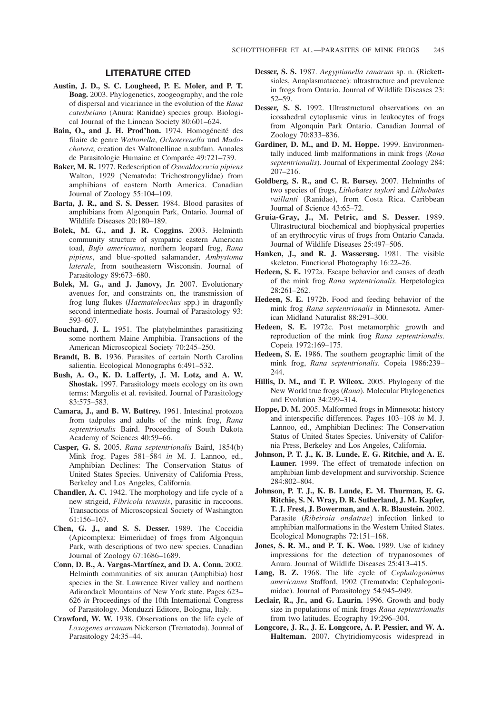## LITERATURE CITED

- Austin, J. D., S. C. Lougheed, P. E. Moler, and P. T. Boag. 2003. Phylogenetics, zoogeography, and the role of dispersal and vicariance in the evolution of the Rana catesbeiana (Anura: Ranidae) species group. Biological Journal of the Linnean Society 80:601–624.
- Bain, O., and J. H. Prod'hon. 1974. Homogéneité des filaire de genre Waltonella, Ochoterenella und Madochotera; creation des Waltonellinae n.subfam. Annales de Parasitologie Humaine et Comparée 49:721–739.
- Baker, M. R. 1977. Redescription of Oswaldocruzia pipiens Walton, 1929 (Nematoda: Trichostrongylidae) from amphibians of eastern North America. Canadian Journal of Zoology 55:104–109.
- Barta, J. R., and S. S. Desser. 1984. Blood parasites of amphibians from Algonquin Park, Ontario. Journal of Wildlife Diseases 20:180–189.
- Bolek, M. G., and J. R. Coggins. 2003. Helminth community structure of sympatric eastern American toad, Bufo americanus, northern leopard frog, Rana pipiens, and blue-spotted salamander, Ambystoma laterale, from southeastern Wisconsin. Journal of Parasitology 89:673–680.
- Bolek, M. G., and J. Janovy, Jr. 2007. Evolutionary avenues for, and constraints on, the transmission of frog lung flukes (Haematoloechus spp.) in dragonfly second intermediate hosts. Journal of Parasitology 93: 593–607.
- Bouchard, J. L. 1951. The platyhelminthes parasitizing some northern Maine Amphibia. Transactions of the American Microscopical Society 70:245–250.
- Brandt, B. B. 1936. Parasites of certain North Carolina salientia. Ecological Monographs 6:491–532.
- Bush, A. O., K. D. Lafferty, J. M. Lotz, and A. W. Shostak. 1997. Parasitology meets ecology on its own terms: Margolis et al. revisited. Journal of Parasitology 83:575–583.
- Camara, J., and B. W. Buttrey. 1961. Intestinal protozoa from tadpoles and adults of the mink frog, Rana septentrionalis Baird. Proceeding of South Dakota Academy of Sciences 40:59–66.
- Casper, G. S. 2005. Rana septentrionalis Baird, 1854(b) Mink frog. Pages 581–584 in M. J. Lannoo, ed., Amphibian Declines: The Conservation Status of United States Species. University of California Press, Berkeley and Los Angeles, California.
- Chandler, A. C. 1942. The morphology and life cycle of a new strigeid, Fibricola texensis, parasitic in raccoons. Transactions of Microscopsical Society of Washington 61:156–167.
- Chen, G. J., and S. S. Desser. 1989. The Coccidia (Apicomplexa: Eimeriidae) of frogs from Algonquin Park, with descriptions of two new species. Canadian Journal of Zoology 67:1686–1689.
- Conn, D. B., A. Vargas-Martínez, and D. A. Conn. 2002. Helminth communities of six anuran (Amphibia) host species in the St. Lawrence River valley and northern Adirondack Mountains of New York state. Pages 623– 626 in Proceedings of the 10th International Congress of Parasitology. Monduzzi Editore, Bologna, Italy.
- Crawford, W. W. 1938. Observations on the life cycle of Loxogenes arcanum Nickerson (Trematoda). Journal of Parasitology 24:35–44.
- Desser, S. S. 1987. Aegyptianella ranarum sp. n. (Rickettsiales, Anaplasmataceae): ultrastructure and prevalence in frogs from Ontario. Journal of Wildlife Diseases 23: 52–59.
- Desser, S. S. 1992. Ultrastructural observations on an icosahedral cytoplasmic virus in leukocytes of frogs from Algonquin Park Ontario. Canadian Journal of Zoology 70:833–836.
- Gardiner, D. M., and D. M. Hoppe. 1999. Environmentally induced limb malformations in mink frogs (Rana septentrionalis). Journal of Experimental Zoology 284: 207–216.
- Goldberg, S. R., and C. R. Bursey. 2007. Helminths of two species of frogs, Lithobates taylori and Lithobates vaillanti (Ranidae), from Costa Rica. Caribbean Journal of Science 43:65–72.
- Gruia-Gray, J., M. Petric, and S. Desser. 1989. Ultrastructural biochemical and biophysical properties of an erythrocytic virus of frogs from Ontario Canada. Journal of Wildlife Diseases 25:497–506.
- Hanken, J., and R. J. Wassersug. 1981. The visible skeleton. Functional Photography 16:22–26.
- Hedeen, S. E. 1972a. Escape behavior and causes of death of the mink frog Rana septentrionalis. Herpetologica 28:261–262.
- Hedeen, S. E. 1972b. Food and feeding behavior of the mink frog Rana septentrionalis in Minnesota. American Midland Naturalist 88:291–300.
- Hedeen, S. E. 1972c. Post metamorphic growth and reproduction of the mink frog Rana septentrionalis. Copeia 1972:169–175.
- Hedeen, S. E. 1986. The southern geographic limit of the mink frog, Rana septentrionalis. Copeia 1986:239– 244.
- Hillis, D. M., and T. P. Wilcox. 2005. Phylogeny of the New World true frogs (Rana). Molecular Phylogenetics and Evolution 34:299–314.
- Hoppe, D. M. 2005. Malformed frogs in Minnesota: history and interspecific differences. Pages 103–108 in M. J. Lannoo, ed., Amphibian Declines: The Conservation Status of United States Species. University of California Press, Berkeley and Los Angeles, California.
- Johnson, P. T. J., K. B. Lunde, E. G. Ritchie, and A. E. Launer. 1999. The effect of trematode infection on amphibian limb development and survivorship. Science 284:802–804.
- Johnson, P. T. J., K. B. Lunde, E. M. Thurman, E. G. Ritchie, S. N. Wray, D. R. Sutherland, J. M. Kapfer, T. J. Frest, J. Bowerman, and A. R. Blaustein. 2002. Parasite (Ribeiroia ondatrae) infection linked to amphibian malformations in the Western United States. Ecological Monographs 72:151–168.
- Jones, S. R. M., and P. T. K. Woo. 1989. Use of kidney impressions for the detection of trypanosomes of Anura. Journal of Wildlife Diseases 25:413–415.
- Lang, B. Z. 1968. The life cycle of Cephalogonimus americanus Stafford, 1902 (Trematoda: Cephalogonimidae). Journal of Parasitology 54:945–949.
- Leclair, R., Jr., and G. Laurin. 1996. Growth and body size in populations of mink frogs Rana septentrionalis from two latitudes. Ecography 19:296–304.
- Longcore, J. R., J. E. Longcore, A. P. Pessier, and W. A. Halteman. 2007. Chytridiomycosis widespread in